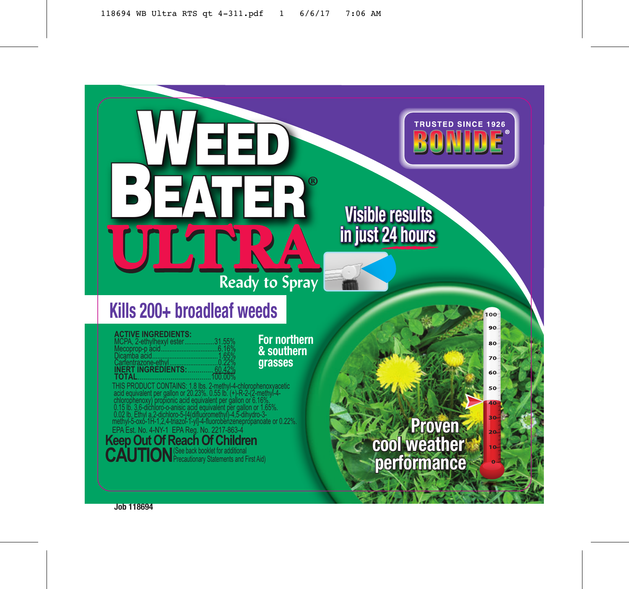# WEED<br>BEATER **ULTRA Ready to Spray**

## **Kills 200+ broadleaf weeds**

#### **ACTIVE INGREDIENTS:**

| MCPA, 2-ethylhexyl ester31.55%    |  |
|-----------------------------------|--|
|                                   |  |
|                                   |  |
|                                   |  |
| <b>INERT INGREDIENTS:  60.42%</b> |  |
|                                   |  |

**For northern & southern grasses**

THIS PRODUCT CONTAINS: 1.8 lbs. 2-methyl-4-chlorophenoxyacetic acid equivalent per gallon or 20.23%. 0.55 lb. (+)-R-2-(2-methyl-4 chlorophenoxy) propionic acid equivalent per gallon or 6.16%. 0.15 lb. 3,6-dichloro-o-anisic acid equivalent per gallon or 1.65%. 0.02 lb. Ethyl a,2-dichloro-5-[4(difluoromethyl)-4,5-dihydro-3 methyl-5-oxo-1H-1,2,4-triazol-1-yl]-4-fluorobenzenepropanoate or 0.22%. EPA Est. No. 4-NY-1 EPA Reg. No. 2217-863-4

## **Keep Out Of Reach Of Children** CAUTION<sup>See back booklet for additional **CAUTION** Precautionary Statements and First Aid)</sup>

*Proven* **cool weather performance**

**Visible results in just 24 hours**

**TRUSTED SINCE 1926** BONIDE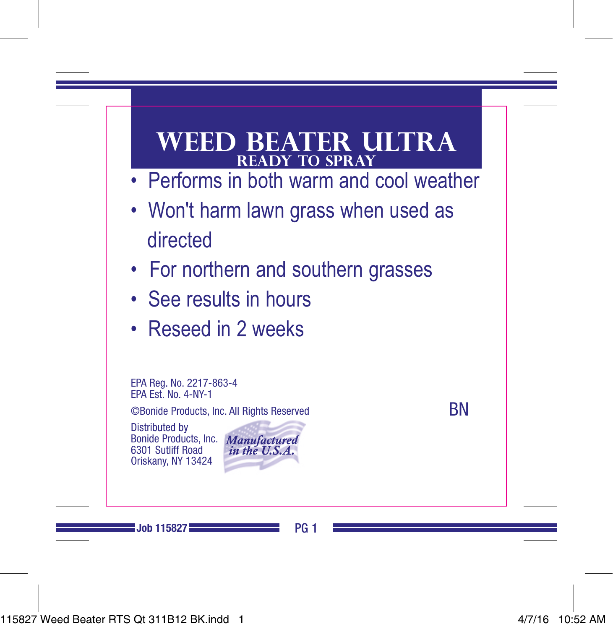## **weed beater ultra ready to spray**

- Performs in both warm and cool weather
- Won't harm lawn grass when used as directed
- For northern and southern grasses
- See results in hours
- Reseed in 2 weeks

EPA Reg. No. 2217-863-4 EPA Est. No. 4-NY-1

©Bonide Products, Inc. All Rights Reserved

Distributed by nide Products, Inc. 6301 Sutliff Road Oriskany, NY 13424



**RN**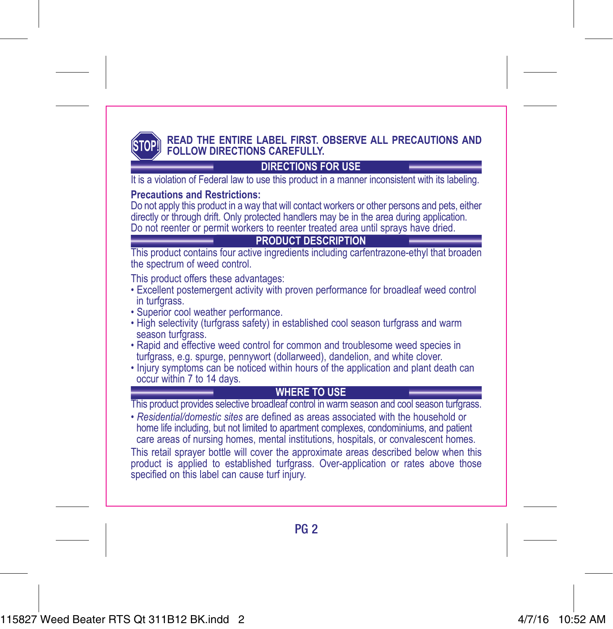

#### **READ THE ENTIRE LABEL FIRST. OBSERVE ALL PRECAUTIONS AND FOLLOW DIRECTIONS CAREFULLY.**

### **DIRECTIONS FOR USE**

It is a violation of Federal law to use this product in a manner inconsistent with its labeling.

#### **Precautions and Restrictions:**

Do not apply this product in a way that will contact workers or other persons and pets, either directly or through drift. Only protected handlers may be in the area during application. Do not reenter or permit workers to reenter treated area until sprays have dried.

#### **PRODUCT DESCRIPTION**

This product contains four active ingredients including carfentrazone-ethyl that broaden the spectrum of weed control.

This product offers these advantages:

- Excellent postemergent activity with proven performance for broadleaf weed control in turfgrass.
- Superior cool weather performance.
- High selectivity (turfgrass safety) in established cool season turfgrass and warm season turfgrass.
- Rapid and effective weed control for common and troublesome weed species in turfgrass, e.g. spurge, pennywort (dollarweed), dandelion, and white clover.
- Injury symptoms can be noticed within hours of the application and plant death can occur within 7 to 14 days.

#### **WHERE TO USE**

This product provides selective broadleaf control in warm season and cool season turfgrass.<br>• Residential/domestic sites are defined as areas associated with the household or

home life including, but not limited to apartment complexes, condominiums, and patient care areas of nursing homes, mental institutions, hospitals, or convalescent homes. This retail sprayer bottle will cover the approximate areas described below when this product is applied to established turfgrass. Over-application or rates above those specified on this label can cause turf injury.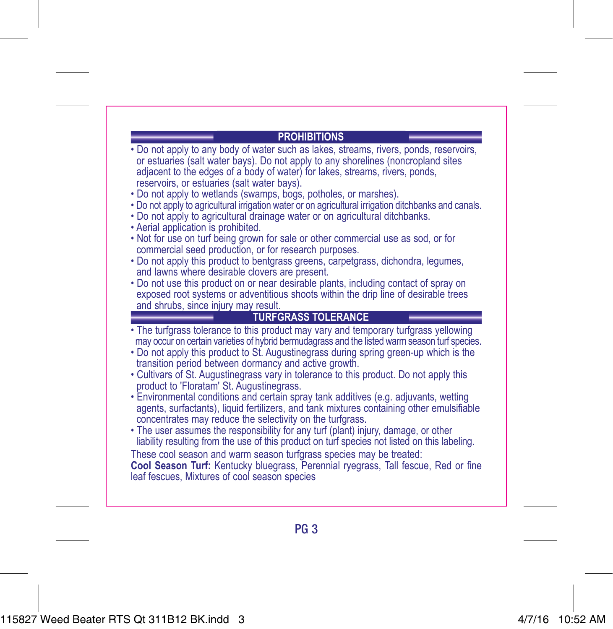#### **PROHIBITIONS**

- Do not apply to any body of water such as lakes, streams, rivers, ponds, reservoirs, or estuaries (salt water bays). Do not apply to any shorelines (noncropland sites adjacent to the edges of a body of water) for lakes, streams, rivers, ponds, reservoirs, or estuaries (salt water bays).
- Do not apply to wetlands (swamps, bogs, potholes, or marshes).
- Do not apply to agricultural irrigation water or on agricultural irrigation ditchbanks and canals.
- Do not apply to agricultural drainage water or on agricultural ditchbanks.
- Aerial application is prohibited.
- Not for use on turf being grown for sale or other commercial use as sod, or for commercial seed production, or for research purposes.
- Do not apply this product to bentgrass greens, carpetgrass, dichondra, legumes, and lawns where desirable clovers are present.
- Do not use this product on or near desirable plants, including contact of spray on exposed root systems or adventitious shoots within the drip line of desirable trees and shrubs, since injury may result.

#### **TURFGRASS TOLERANCE**

- The turfgrass tolerance to this product may vary and temporary turfgrass yellowing
- Do not apply this product to St. Augustinegrass during spring green-up which is the transition period between dormancy and active growth.
- Cultivars of St. Augustinegrass vary in tolerance to this product. Do not apply this product to 'Floratam' St. Augustinegrass.
- Environmental conditions and certain spray tank additives (e.g. adjuvants, wetting agents, surfactants), liquid fertilizers, and tank mixtures containing other emulsifiable concentrates may reduce the selectivity on the turfgrass.
- The user assumes the responsibility for any turf (plant) injury, damage, or other liability resulting from the use of this product on turf species not listed on this labeling.

These cool season and warm season turfgrass species may be treated: **Cool Season Turf:** Kentucky bluegrass, Perennial ryegrass, Tall fescue, Red or fine leaf fescues, Mixtures of cool season species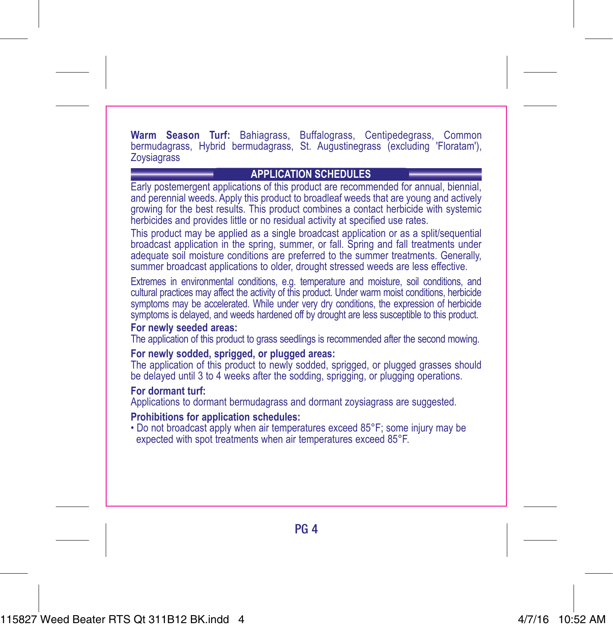**Warm Season Turf:** Bahiagrass, Buffalograss, Centipedegrass, Common bermudagrass, Hybrid bermudagrass, St. Augustinegrass (excluding 'Floratam'), **Zoysiagrass** 

#### **APPLICATION SCHEDULES**

- Early postemergent applications of this product are recommended for annual, biennial, and perennial weeds. Apply this product to broadleaf weeds that are young and actively growing for the best results. This product combines a contact herbicide with systemic herbicides and provides little or no residual activity at specified use rates.
- This product may be applied as a single broadcast application or as a split/sequential broadcast application in the spring, summer, or fall. Spring and fall treatments under adequate soil moisture conditions are preferred to the summer treatments. Generally, summer broadcast applications to older, drought stressed weeds are less effective.
- Extremes in environmental conditions, e.g. temperature and moisture, soil conditions, and cultural practices may affect the activity of this product. Under warm moist conditions, herbicide symptoms may be accelerated. While under very dry conditions, the expression of herbicide symptoms is delayed, and weeds hardened off by drought are less susceptible to this product.

#### **For newly seeded areas:**

- The application of this product to grass seedlings is recommended after the second mowing. **For newly sodded, sprigged, or plugged areas:**
- The application of this product to newly sodded, sprigged, or plugged grasses should be delayed until 3 to 4 weeks after the sodding, sprigging, or plugging operations.

#### **For dormant turf:**

Applications to dormant bermudagrass and dormant zoysiagrass are suggested.

#### **Prohibitions for application schedules:**

• Do not broadcast apply when air temperatures exceed 85°F; some injury may be expected with spot treatments when air temperatures exceed 85°F.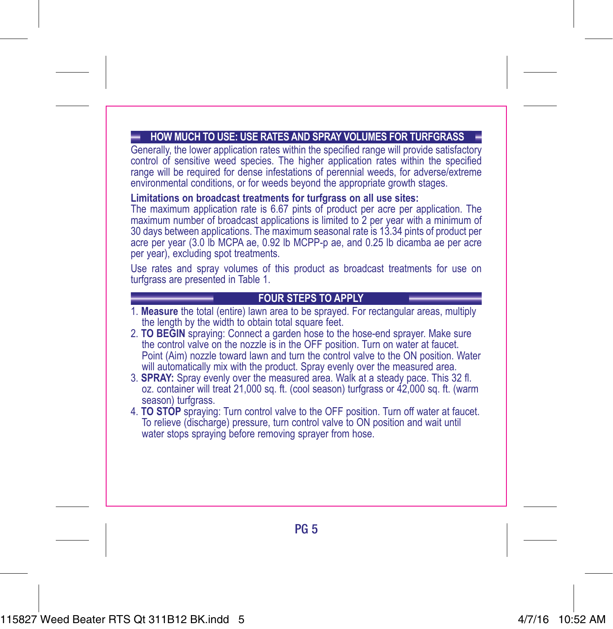#### **HOW MUCH TO USE: USE RATES AND SPRAY VOLUMES FOR TURFGRASS**

Generally, the lower application rates within the specified range will provide satisfactory control of sensitive weed species. The higher application rates within the specified range will be required for dense infestations of perennial weeds, for adverse/extreme environmental conditions, or for weeds beyond the appropriate growth stages.

#### **Limitations on broadcast treatments for turfgrass on all use sites:**

The maximum application rate is 6.67 pints of product per acre per application. The maximum number of broadcast applications is limited to 2 per year with a minimum of 30 days between applications. The maximum seasonal rate is 13.34 pints of product per acre per year (3.0 lb MCPA ae, 0.92 lb MCPP-p ae, and 0.25 lb dicamba ae per acre per year), excluding spot treatments.

Use rates and spray volumes of this product as broadcast treatments for use on turfgrass are presented in Table 1.

#### **FOUR STEPS TO APPLY**

- 1. **Measure** the total (entire) lawn area to be sprayed. For rectangular areas, multiply the length by the width to obtain total square feet.
- 2. **TO BEGIN** spraying: Connect a garden hose to the hose-end sprayer. Make sure the control valve on the nozzle is in the OFF position. Turn on water at faucet. Point (Aim) nozzle toward lawn and turn the control valve to the ON position. Water will automatically mix with the product. Spray evenly over the measured area.
- 3. **SPRAY:** Spray evenly over the measured area. Walk at a steady pace. This 32 fl. oz. container will treat 21,000 sq. ft. (cool season) turfgrass or 42,000 sq. ft. (warm season) turfgrass.
- 4. **TO STOP** spraying: Turn control valve to the OFF position. Turn off water at faucet. To relieve (discharge) pressure, turn control valve to ON position and wait until water stops spraying before removing sprayer from hose.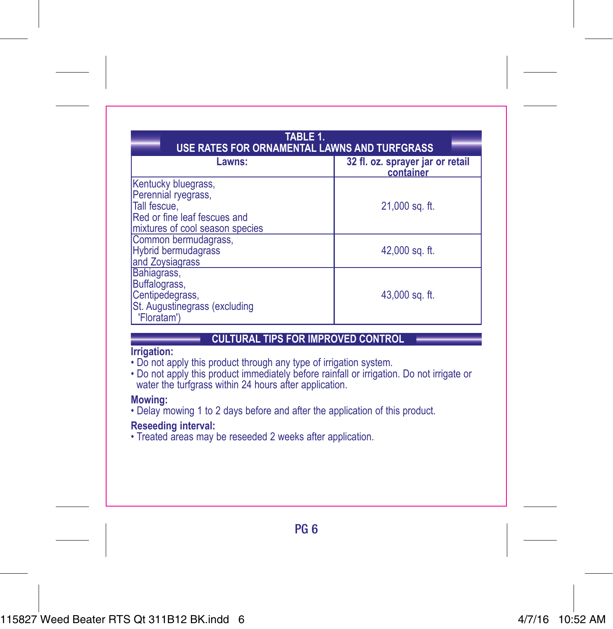| TABLE 1.<br>USE RATES FOR ORNAMENTAL LAWNS AND TURFGRASS                                                                      |                                               |
|-------------------------------------------------------------------------------------------------------------------------------|-----------------------------------------------|
| Lawns:                                                                                                                        | 32 fl. oz. sprayer jar or retail<br>container |
| Kentucky bluegrass,<br>Perennial ryegrass,<br>Tall fescue,<br>Red or fine leaf fescues and<br>mixtures of cool season species | 21,000 sq. ft.                                |
| Common bermudagrass,<br><b>Hybrid bermudagrass</b><br>and Zoysiagrass                                                         | 42,000 sq. ft.                                |
| Bahiagrass,<br>Buffalograss,<br>Centipedegrass,<br>St. Augustinegrass (excluding<br>'Floratam')                               | 43,000 sq. ft.                                |

#### **CULTURAL TIPS FOR IMPROVED CONTROL**

#### **Irrigation:**

- Do not apply this product through any type of irrigation system.
- Do not apply this product immediately before rainfall or irrigation. Do not irrigate or water the turfgrass within 24 hours after application.

#### **Mowing:**

• Delay mowing 1 to 2 days before and after the application of this product.

#### **Reseeding interval:**

• Treated areas may be reseeded 2 weeks after application.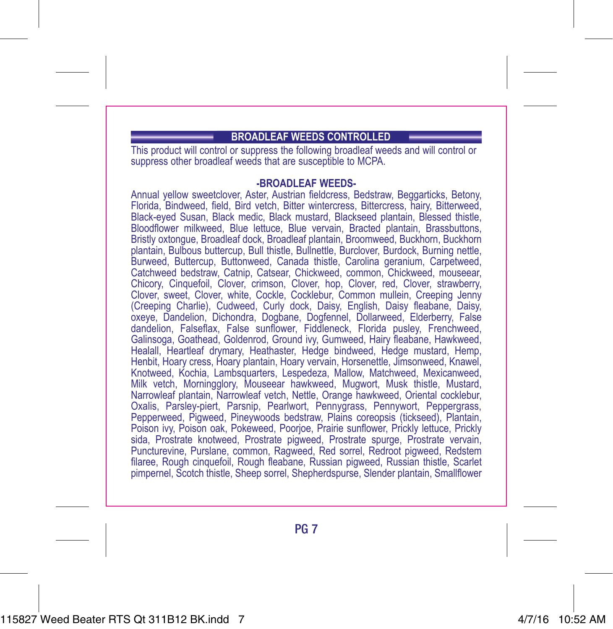#### **BROADLEAF WEEDS CONTROLLED**

This product will control or suppress the following broadleaf weeds and will control or suppress other broadleaf weeds that are susceptible to MCPA.

#### **-BROADLEAF WEEDS-**

Annual yellow sweetclover, Aster, Austrian fieldcress, Bedstraw, Beggarticks, Betony, Florida, Bindweed, field, Bird vetch, Bitter wintercress, Bittercress, hairy, Bitterweed, Black-eyed Susan, Black medic, Black mustard, Blackseed plantain, Blessed thistle, Bloodflower milkweed, Blue lettuce, Blue vervain, Bracted plantain, Brassbuttons, Bristly oxtongue, Broadleaf dock, Broadleaf plantain, Broomweed, Buckhorn, Buckhorn plantain, Bulbous buttercup, Bull thistle, Bullnettle, Burclover, Burdock, Burning nettle, Burweed, Buttercup, Buttonweed, Canada thistle, Carolina geranium, Carpetweed, Catchweed bedstraw, Catnip, Catsear, Chickweed, common, Chickweed, mouseear, Chicory, Cinquefoil, Clover, crimson, Clover, hop, Clover, red, Clover, strawberry, Clover, sweet, Clover, white, Cockle, Cocklebur, Common mullein, Creeping Jenny (Creeping Charlie), Cudweed, Curly dock, Daisy, English, Daisy fleabane, Daisy, oxeye, Dandelion, Dichondra, Dogbane, Dogfennel, Dollarweed, Elderberry, False dandelion, Falseflax, False sunflower, Fiddleneck, Florida pusley, Frenchweed, Galinsoga, Goathead, Goldenrod, Ground ivy, Gumweed, Hairy fleabane, Hawkweed, Healall, Heartleaf drymary, Heathaster, Hedge bindweed, Hedge mustard, Hemp, Henbit, Hoary cress, Hoary plantain, Hoary vervain, Horsenettle, Jimsonweed, Knawel, Knotweed, Kochia, Lambsquarters, Lespedeza, Mallow, Matchweed, Mexicanweed, Milk vetch, Morningglory, Mouseear hawkweed, Mugwort, Musk thistle, Mustard, Narrowleaf plantain, Narrowleaf vetch, Nettle, Orange hawkweed, Oriental cocklebur, Oxalis, Parsley-piert, Parsnip, Pearlwort, Pennygrass, Pennywort, Peppergrass, Pepperweed, Pigweed, Pineywoods bedstraw, Plains coreopsis (tickseed), Plantain, Poison ivy, Poison oak, Pokeweed, Poorjoe, Prairie sunflower, Prickly lettuce, Prickly sida, Prostrate knotweed, Prostrate pigweed, Prostrate spurge, Prostrate vervain, Puncturevine, Purslane, common, Ragweed, Red sorrel, Redroot pigweed, Redstem filaree, Rough cinquefoil, Rough fleabane, Russian pigweed, Russian thistle, Scarlet pimpernel, Scotch thistle, Sheep sorrel, Shepherdspurse, Slender plantain, Smallflower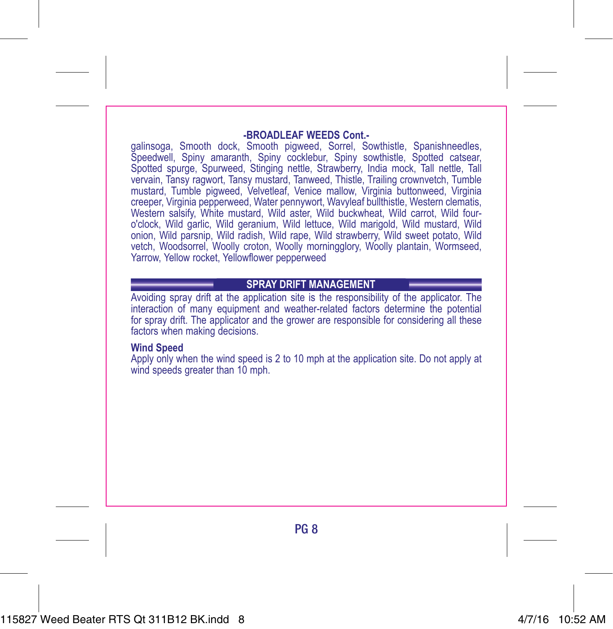#### **-BROADLEAF WEEDS Cont.-**

galinsoga, Smooth dock, Smooth pigweed, Sorrel, Sowthistle, Spanishneedles, Speedwell, Spiny amaranth, Spiny cocklebur, Spiny sowthistle, Spotted catsear, Spotted spurge, Spurweed, Stinging nettle, Strawberry, India mock, Tall nettle, Tall vervain, Tansy ragwort, Tansy mustard, Tanweed, Thistle, Trailing crownvetch, Tumble mustard, Tumble pigweed, Velvetleaf, Venice mallow, Virginia buttonweed, Virginia creeper, Virginia pepperweed, Water pennywort, Wavyleaf bullthistle, Western clematis, Western salsify, White mustard, Wild aster, Wild buckwheat, Wild carrot, Wild fouro'clock, Wild garlic, Wild geranium, Wild lettuce, Wild marigold, Wild mustard, Wild onion, Wild parsnip, Wild radish, Wild rape, Wild strawberry, Wild sweet potato, Wild vetch, Woodsorrel, Woolly croton, Woolly morningglory, Woolly plantain, Wormseed, Yarrow, Yellow rocket, Yellowflower pepperweed

#### **SPRAY DRIFT MANAGEMENT**

Avoiding spray drift at the application site is the responsibility of the applicator. The interaction of many equipment and weather-related factors determine the potential for spray drift. The applicator and the grower are responsible for considering all these factors when making decisions.

#### **Wind Speed**

Apply only when the wind speed is 2 to 10 mph at the application site. Do not apply at wind speeds greater than 10 mph.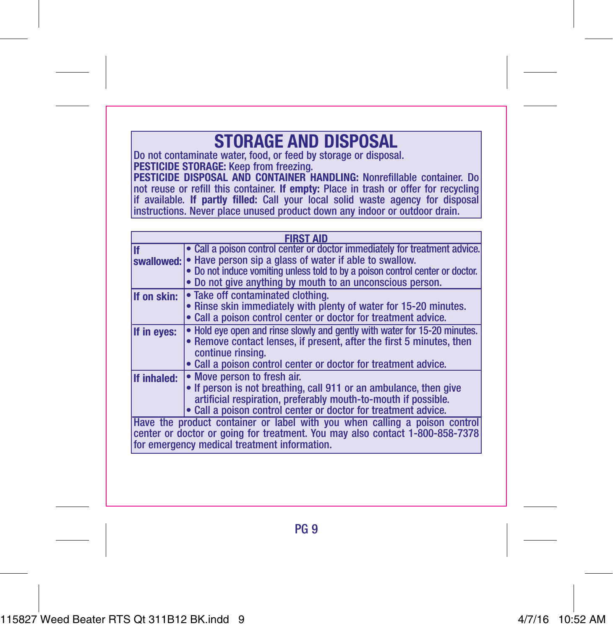## **STORAGE AND DISPOSAL**

Do not contaminate water, food, or feed by storage or disposal. **PESTICIDE STORAGE:** Keep from freezing.

**PESTICIDE DISPOSAL AND CONTAINER HANDLING:** Nonrefillable container. Do not reuse or refill this container. **If empty:** Place in trash or offer for recycling if available. **If partly filled:** Call your local solid waste agency for disposal instructions. Never place unused product down any indoor or outdoor drain.

| <b>FIRST AID</b> |                                                                                                                                                                                                                                                                                               |
|------------------|-----------------------------------------------------------------------------------------------------------------------------------------------------------------------------------------------------------------------------------------------------------------------------------------------|
| lif              | • Call a poison control center or doctor immediately for treatment advice.<br>swallowed: • Have person sip a glass of water if able to swallow.<br>• Do not induce vomiting unless told to by a poison control center or doctor.<br>• Do not give anything by mouth to an unconscious person. |
| If on skin:      | • Take off contaminated clothing.<br>• Rinse skin immediately with plenty of water for 15-20 minutes.<br>• Call a poison control center or doctor for treatment advice.                                                                                                                       |
| If in eves:      | • Hold eve open and rinse slowly and gently with water for 15-20 minutes.<br>• Remove contact lenses, if present, after the first 5 minutes, then<br>continue rinsing.<br>• Call a poison control center or doctor for treatment advice.                                                      |
| If inhaled:      | • Move person to fresh air.<br>• If person is not breathing, call 911 or an ambulance, then give<br>artificial respiration, preferably mouth-to-mouth if possible.<br>• Call a poison control center or doctor for treatment advice.                                                          |
|                  | Have the product container or label with you when calling a poison control<br>center or doctor or going for treatment. You may also contact 1-800-858-7378<br>for emergency medical treatment information.                                                                                    |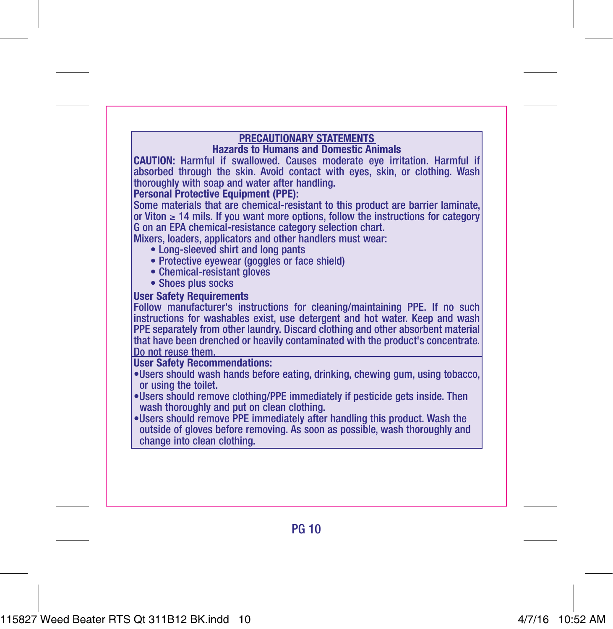**PRECAUTIONARY STATEMENTS Hazards to Humans and Domestic Animals CAUTION:** Harmful if swallowed. Causes moderate eye irritation. Harmful if absorbed through the skin. Avoid contact with eyes, skin, or clothing. Wash thoroughly with soap and water after handling.

#### **Personal Protective Equipment (PPE):**

Some materials that are chemical-resistant to this product are barrier laminate, or Viton ≥ 14 mils. If you want more options, follow the instructions for category G on an EPA chemical-resistance category selection chart.

Mixers, loaders, applicators and other handlers must wear:

- Long-sleeved shirt and long pants
- Protective eyewear (goggles or face shield)
- Chemical-resistant gloves
- Shoes plus socks

#### **User Safety Requirements**

Follow manufacturer's instructions for cleaning/maintaining PPE. If no such instructions for washables exist, use detergent and hot water. Keep and wash PPE separately from other laundry. Discard clothing and other absorbent material that have been drenched or heavily contaminated with the product's concentrate. Do not reuse them.

#### **User Safety Recommendations:**

- •Users should wash hands before eating, drinking, chewing gum, using tobacco, or using the toilet.
- •Users should remove clothing/PPE immediately if pesticide gets inside. Then wash thoroughly and put on clean clothing.
- •Users should remove PPE immediately after handling this product. Wash the outside of gloves before removing. As soon as possible, wash thoroughly and change into clean clothing.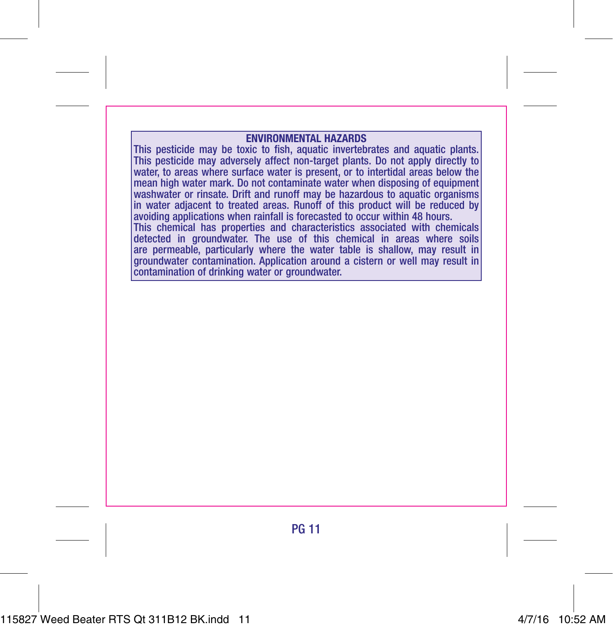#### **ENVIRONMENTAL HAZARDS**

This pesticide may be toxic to fish, aquatic invertebrates and aquatic plants. This pesticide may adversely affect non-target plants. Do not apply directly to water, to areas where surface water is present, or to intertidal areas below the mean high water mark. Do not contaminate water when disposing of equipment washwater or rinsate. Drift and runoff may be hazardous to aquatic organisms in water adjacent to treated areas. Runoff of this product will be reduced by avoiding applications when rainfall is forecasted to occur within 48 hours. This chemical has properties and characteristics associated with chemicals detected in groundwater. The use of this chemical in areas where soils are permeable, particularly where the water table is shallow, may result in groundwater contamination. Application around a cistern or well may result in contamination of drinking water or groundwater.